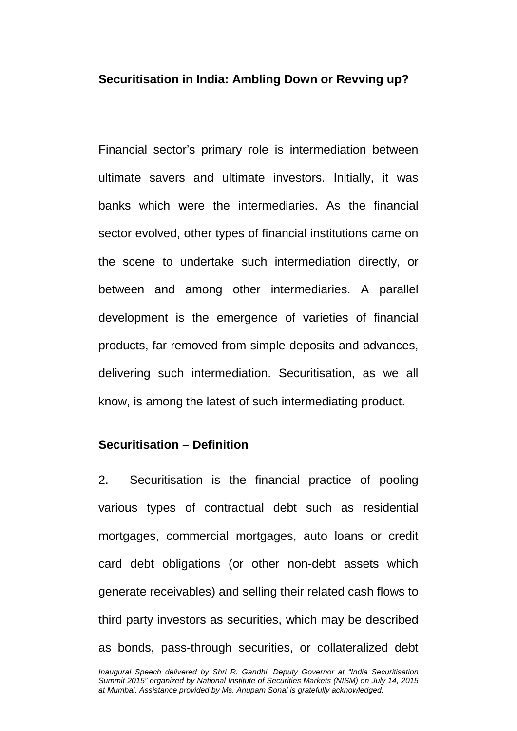## **Securitisation in India: Ambling Down or Revving up?**

Financial sector's primary role is intermediation between ultimate savers and ultimate investors. Initially, it was banks which were the intermediaries. As the financial sector evolved, other types of financial institutions came on the scene to undertake such intermediation directly, or between and among other intermediaries. A parallel development is the emergence of varieties of financial products, far removed from simple deposits and advances, delivering such intermediation. Securitisation, as we all know, is among the latest of such intermediating product.

## **Securitisation – Definition**

2. Securitisation is the financial practice of pooling various types of contractual debt such as residential mortgages, commercial mortgages, auto loans or credit card debt obligations (or other non-debt assets which generate receivables) and selling their related cash flows to third party investors as securities, which may be described as bonds, pass-through securities, or collateralized debt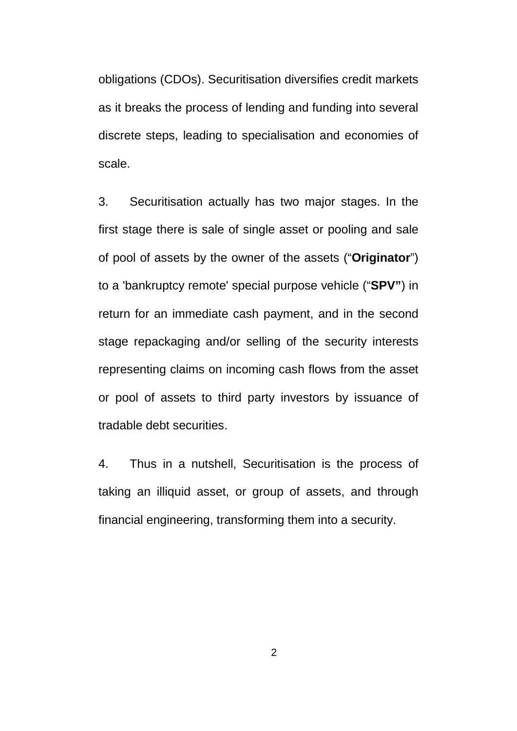obligations (CDOs). Securitisation diversifies credit markets as it breaks the process of lending and funding into several discrete steps, leading to specialisation and economies of scale.

3. Securitisation actually has two major stages. In the first stage there is sale of single asset or pooling and sale of pool of assets by the owner of the assets ("**Originator**") to a 'bankruptcy remote' special purpose vehicle ("**SPV"**) in return for an immediate cash payment, and in the second stage repackaging and/or selling of the security interests representing claims on incoming cash flows from the asset or pool of assets to third party investors by issuance of tradable debt securities.

4. Thus in a nutshell, Securitisation is the process of taking an illiquid asset, or group of assets, and through financial engineering, transforming them into a security.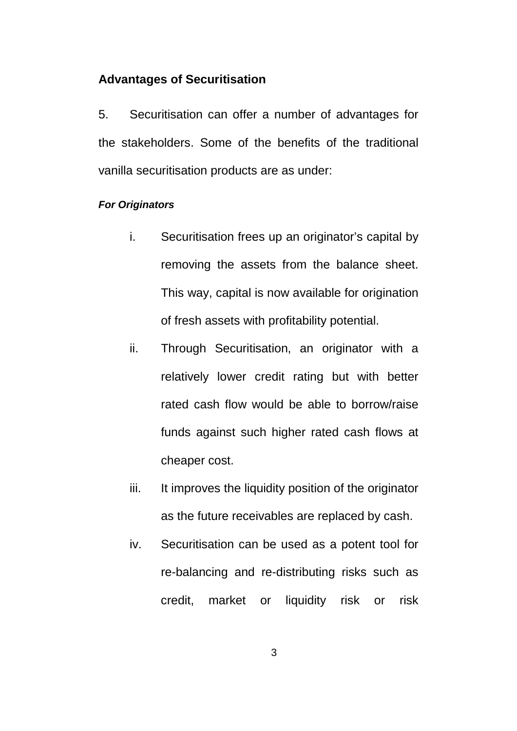### **Advantages of Securitisation**

5. Securitisation can offer a number of advantages for the stakeholders. Some of the benefits of the traditional vanilla securitisation products are as under:

## *For Originators*

- i. Securitisation frees up an originator's capital by removing the assets from the balance sheet. This way, capital is now available for origination of fresh assets with profitability potential.
- ii. Through Securitisation, an originator with a relatively lower credit rating but with better rated cash flow would be able to borrow/raise funds against such higher rated cash flows at cheaper cost.
- iii. It improves the liquidity position of the originator as the future receivables are replaced by cash.
- iv. Securitisation can be used as a potent tool for re-balancing and re-distributing risks such as credit, market or liquidity risk or risk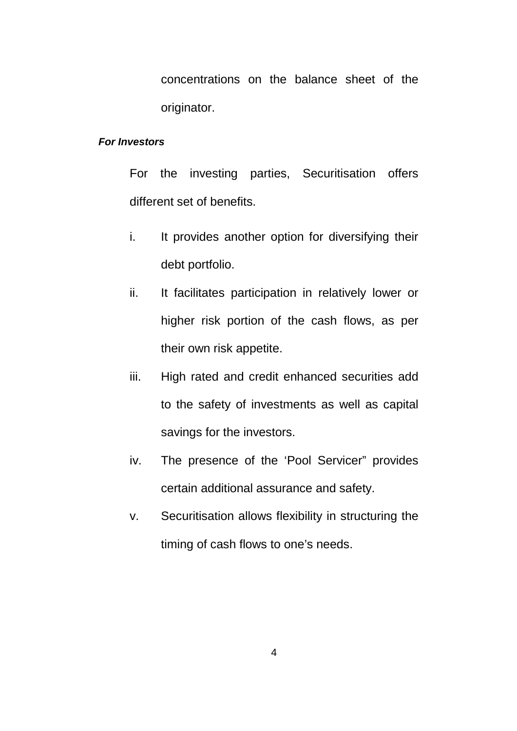concentrations on the balance sheet of the originator.

#### *For Investors*

For the investing parties, Securitisation offers different set of benefits.

- i. It provides another option for diversifying their debt portfolio.
- ii. It facilitates participation in relatively lower or higher risk portion of the cash flows, as per their own risk appetite.
- iii. High rated and credit enhanced securities add to the safety of investments as well as capital savings for the investors.
- iv. The presence of the 'Pool Servicer" provides certain additional assurance and safety.
- v. Securitisation allows flexibility in structuring the timing of cash flows to one's needs.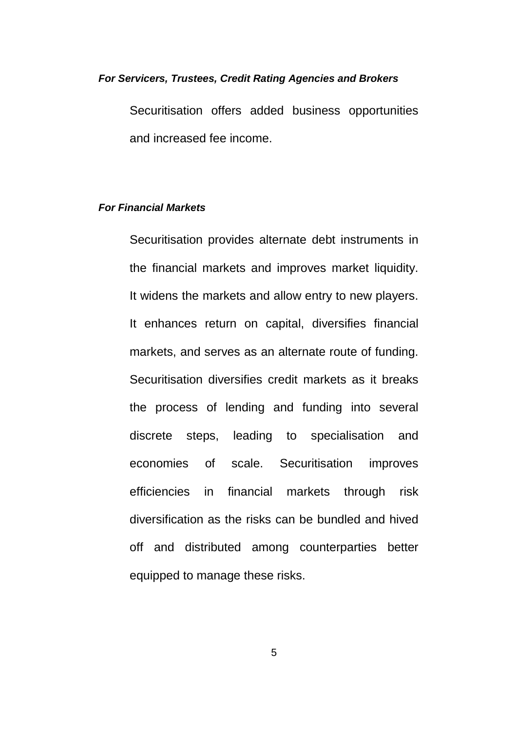#### *For Servicers, Trustees, Credit Rating Agencies and Brokers*

Securitisation offers added business opportunities and increased fee income.

### *For Financial Markets*

Securitisation provides alternate debt instruments in the financial markets and improves market liquidity. It widens the markets and allow entry to new players. It enhances return on capital, diversifies financial markets, and serves as an alternate route of funding. Securitisation diversifies credit markets as it breaks the process of lending and funding into several discrete steps, leading to specialisation and economies of scale. Securitisation improves efficiencies in financial markets through risk diversification as the risks can be bundled and hived off and distributed among counterparties better equipped to manage these risks.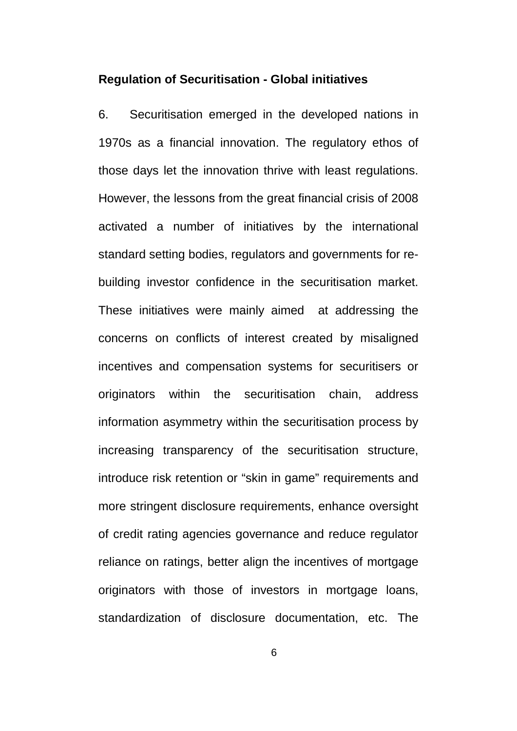#### **Regulation of Securitisation - Global initiatives**

6. Securitisation emerged in the developed nations in 1970s as a financial innovation. The regulatory ethos of those days let the innovation thrive with least regulations. However, the lessons from the great financial crisis of 2008 activated a number of initiatives by the international standard setting bodies, regulators and governments for rebuilding investor confidence in the securitisation market. These initiatives were mainly aimed at addressing the concerns on conflicts of interest created by misaligned incentives and compensation systems for securitisers or originators within the securitisation chain, address information asymmetry within the securitisation process by increasing transparency of the securitisation structure, introduce risk retention or "skin in game" requirements and more stringent disclosure requirements, enhance oversight of credit rating agencies governance and reduce regulator reliance on ratings, better align the incentives of mortgage originators with those of investors in mortgage loans, standardization of disclosure documentation, etc. The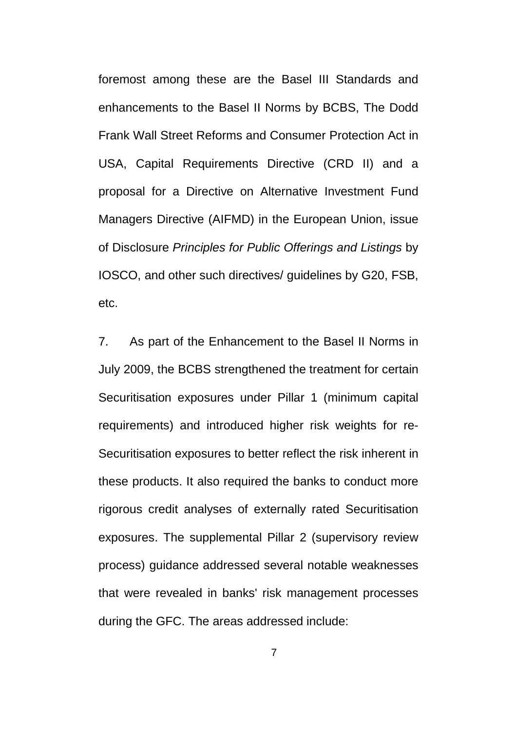foremost among these are the Basel III Standards and enhancements to the Basel II Norms by BCBS, The Dodd Frank Wall Street Reforms and Consumer Protection Act in USA, Capital Requirements Directive (CRD II) and a proposal for a Directive on Alternative Investment Fund Managers Directive (AIFMD) in the European Union, issue of Disclosure *Principles for Public Offerings and Listings* by IOSCO, and other such directives/ guidelines by G20, FSB, etc.

7. As part of the Enhancement to the Basel II Norms in July 2009, the BCBS strengthened the treatment for certain Securitisation exposures under Pillar 1 (minimum capital requirements) and introduced higher risk weights for re-Securitisation exposures to better reflect the risk inherent in these products. It also required the banks to conduct more rigorous credit analyses of externally rated Securitisation exposures. The supplemental Pillar 2 (supervisory review process) guidance addressed several notable weaknesses that were revealed in banks' risk management processes during the GFC. The areas addressed include: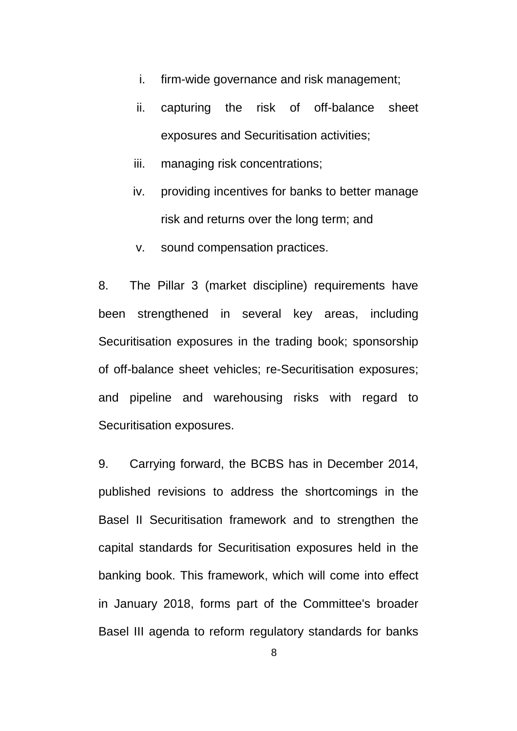- i. firm-wide governance and risk management;
- ii. capturing the risk of off-balance sheet exposures and Securitisation activities;
- iii. managing risk concentrations;
- iv. providing incentives for banks to better manage risk and returns over the long term; and
- v. sound compensation practices.

8. The Pillar 3 (market discipline) requirements have been strengthened in several key areas, including Securitisation exposures in the trading book; sponsorship of off-balance sheet vehicles; re-Securitisation exposures; and pipeline and warehousing risks with regard to Securitisation exposures.

9. Carrying forward, the BCBS has in December 2014, published revisions to address the shortcomings in the Basel II Securitisation framework and to strengthen the capital standards for Securitisation exposures held in the banking book. This framework, which will come into effect in January 2018, forms part of the Committee's broader Basel III agenda to reform regulatory standards for banks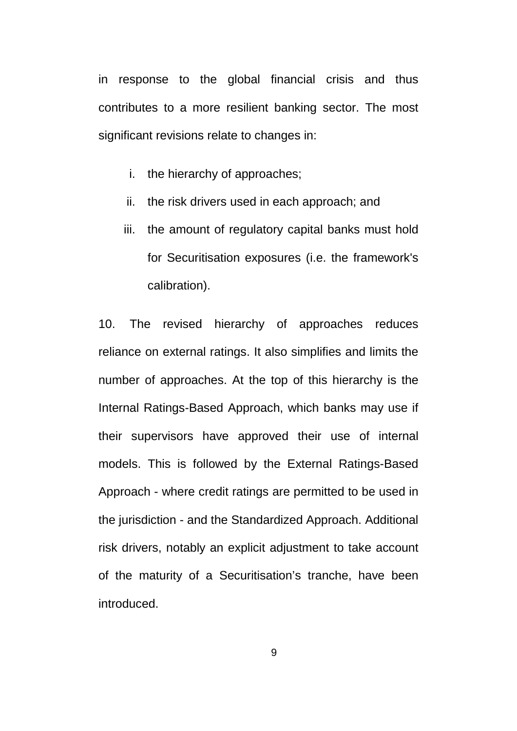in response to the global financial crisis and thus contributes to a more resilient banking sector. The most significant revisions relate to changes in:

- i. the hierarchy of approaches;
- ii. the risk drivers used in each approach; and
- iii. the amount of regulatory capital banks must hold for Securitisation exposures (i.e. the framework's calibration).

10. The revised hierarchy of approaches reduces reliance on external ratings. It also simplifies and limits the number of approaches. At the top of this hierarchy is the Internal Ratings-Based Approach, which banks may use if their supervisors have approved their use of internal models. This is followed by the External Ratings-Based Approach - where credit ratings are permitted to be used in the jurisdiction - and the Standardized Approach. Additional risk drivers, notably an explicit adjustment to take account of the maturity of a Securitisation's tranche, have been introduced.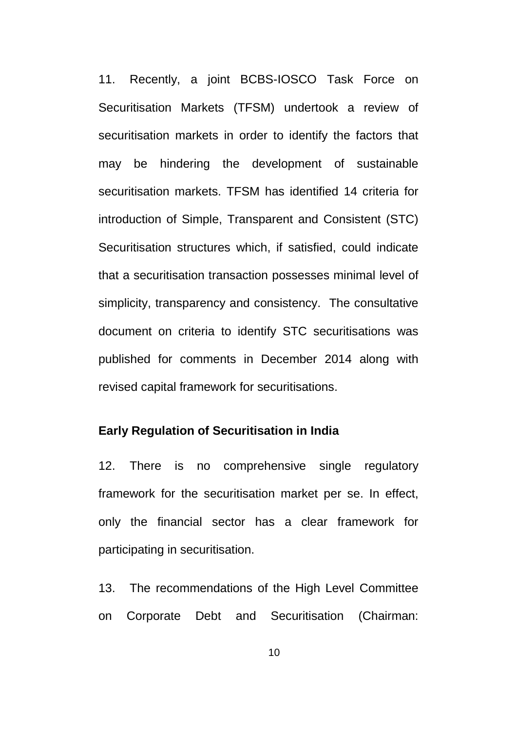11. Recently, a joint BCBS-IOSCO Task Force on Securitisation Markets (TFSM) undertook a review of securitisation markets in order to identify the factors that may be hindering the development of sustainable securitisation markets. TFSM has identified 14 criteria for introduction of Simple, Transparent and Consistent (STC) Securitisation structures which, if satisfied, could indicate that a securitisation transaction possesses minimal level of simplicity, transparency and consistency. The consultative document on criteria to identify STC securitisations was published for comments in December 2014 along with revised capital framework for securitisations.

## **Early Regulation of Securitisation in India**

12. There is no comprehensive single regulatory framework for the securitisation market per se. In effect, only the financial sector has a clear framework for participating in securitisation.

13. The recommendations of the High Level Committee on Corporate Debt and Securitisation (Chairman: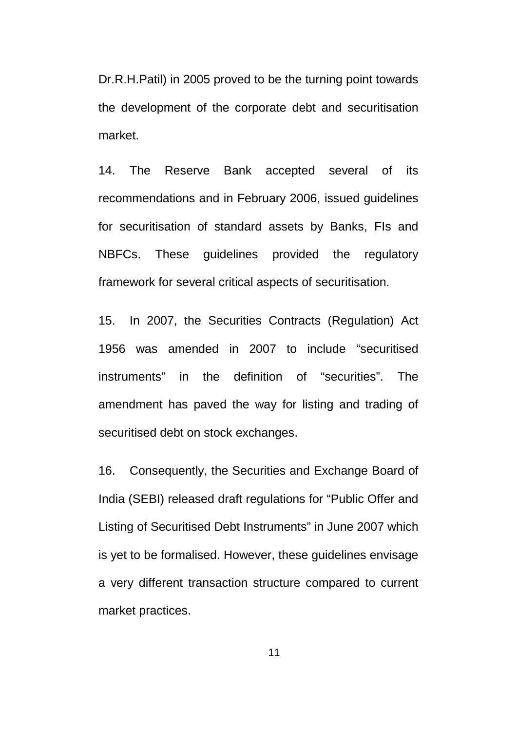Dr.R.H.Patil) in 2005 proved to be the turning point towards the development of the corporate debt and securitisation market.

14. The Reserve Bank accepted several of its recommendations and in February 2006, issued guidelines for securitisation of standard assets by Banks, FIs and NBFCs. These guidelines provided the regulatory framework for several critical aspects of securitisation.

15. In 2007, the Securities Contracts (Regulation) Act 1956 was amended in 2007 to include "securitised instruments" in the definition of "securities". The amendment has paved the way for listing and trading of securitised debt on stock exchanges.

16. Consequently, the Securities and Exchange Board of India (SEBI) released draft regulations for "Public Offer and Listing of Securitised Debt Instruments" in June 2007 which is yet to be formalised. However, these guidelines envisage a very different transaction structure compared to current market practices.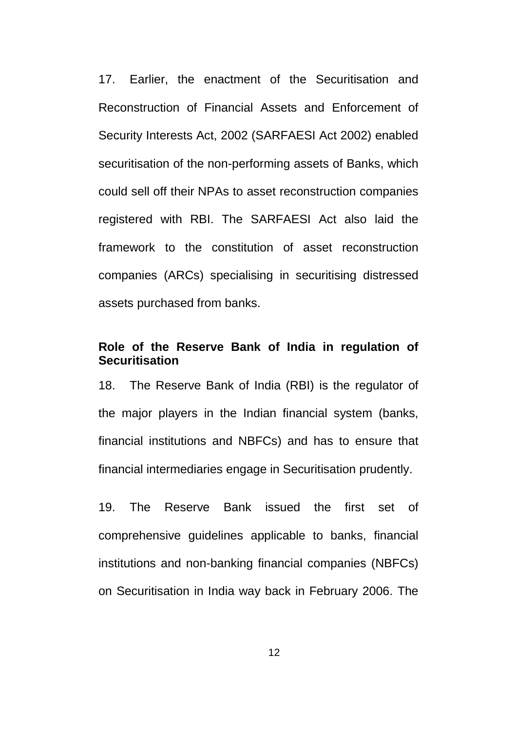17. Earlier, the enactment of the Securitisation and Reconstruction of Financial Assets and Enforcement of Security Interests Act, 2002 (SARFAESI Act 2002) enabled securitisation of the non-performing assets of Banks, which could sell off their NPAs to asset reconstruction companies registered with RBI. The SARFAESI Act also laid the framework to the constitution of asset reconstruction companies (ARCs) specialising in securitising distressed assets purchased from banks.

## **Role of the Reserve Bank of India in regulation of Securitisation**

18. The Reserve Bank of India (RBI) is the regulator of the major players in the Indian financial system (banks, financial institutions and NBFCs) and has to ensure that financial intermediaries engage in Securitisation prudently.

19. The Reserve Bank issued the first set of comprehensive guidelines applicable to banks, financial institutions and non-banking financial companies (NBFCs) on Securitisation in India way back in February 2006. The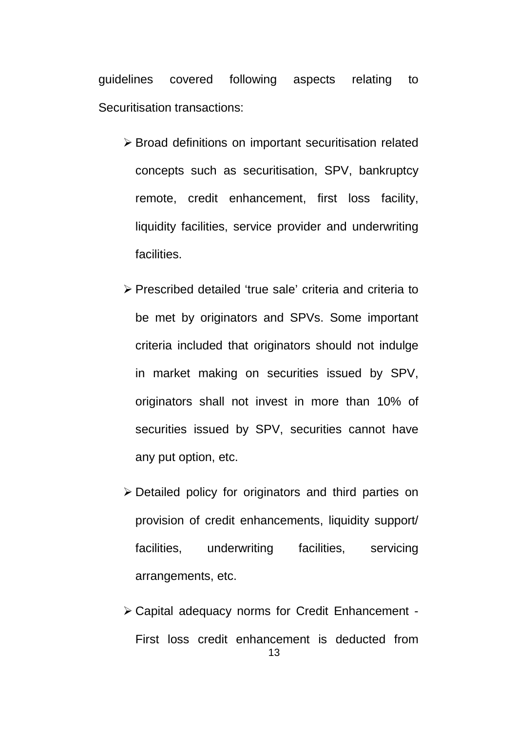guidelines covered following aspects relating to Securitisation transactions:

- Broad definitions on important securitisation related concepts such as securitisation, SPV, bankruptcy remote, credit enhancement, first loss facility, liquidity facilities, service provider and underwriting facilities.
- Prescribed detailed 'true sale' criteria and criteria to be met by originators and SPVs. Some important criteria included that originators should not indulge in market making on securities issued by SPV, originators shall not invest in more than 10% of securities issued by SPV, securities cannot have any put option, etc.
- Detailed policy for originators and third parties on provision of credit enhancements, liquidity support/ facilities, underwriting facilities, servicing arrangements, etc.
- Capital adequacy norms for Credit Enhancement First loss credit enhancement is deducted from 13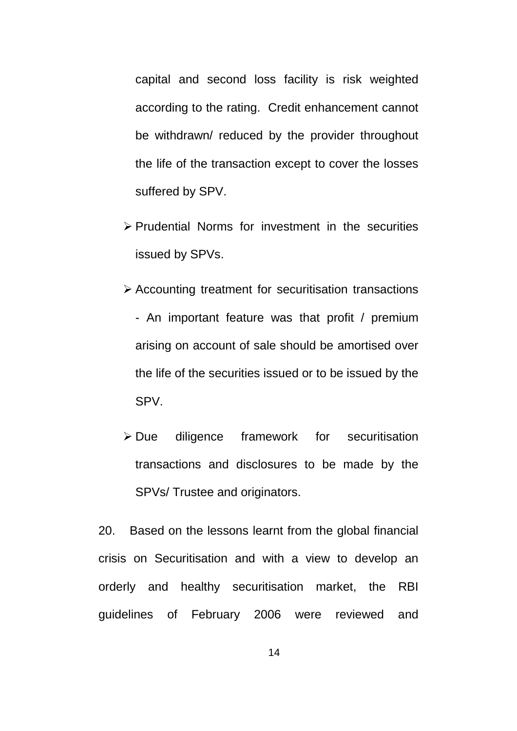capital and second loss facility is risk weighted according to the rating. Credit enhancement cannot be withdrawn/ reduced by the provider throughout the life of the transaction except to cover the losses suffered by SPV.

- $\triangleright$  Prudential Norms for investment in the securities issued by SPVs.
- Accounting treatment for securitisation transactions - An important feature was that profit / premium arising on account of sale should be amortised over the life of the securities issued or to be issued by the
- Due diligence framework for securitisation transactions and disclosures to be made by the SPVs/ Trustee and originators.

SPV.

20. Based on the lessons learnt from the global financial crisis on Securitisation and with a view to develop an orderly and healthy securitisation market, the RBI guidelines of February 2006 were reviewed and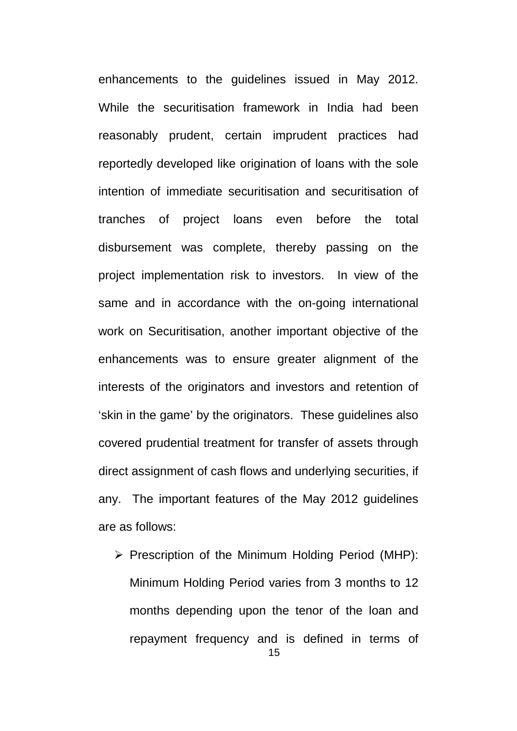enhancements to the guidelines issued in May 2012. While the securitisation framework in India had been reasonably prudent, certain imprudent practices had reportedly developed like origination of loans with the sole intention of immediate securitisation and securitisation of tranches of project loans even before the total disbursement was complete, thereby passing on the project implementation risk to investors. In view of the same and in accordance with the on-going international work on Securitisation, another important objective of the enhancements was to ensure greater alignment of the interests of the originators and investors and retention of 'skin in the game' by the originators. These guidelines also covered prudential treatment for transfer of assets through direct assignment of cash flows and underlying securities, if any. The important features of the May 2012 guidelines are as follows:

 $\triangleright$  Prescription of the Minimum Holding Period (MHP): Minimum Holding Period varies from 3 months to 12 months depending upon the tenor of the loan and repayment frequency and is defined in terms of 15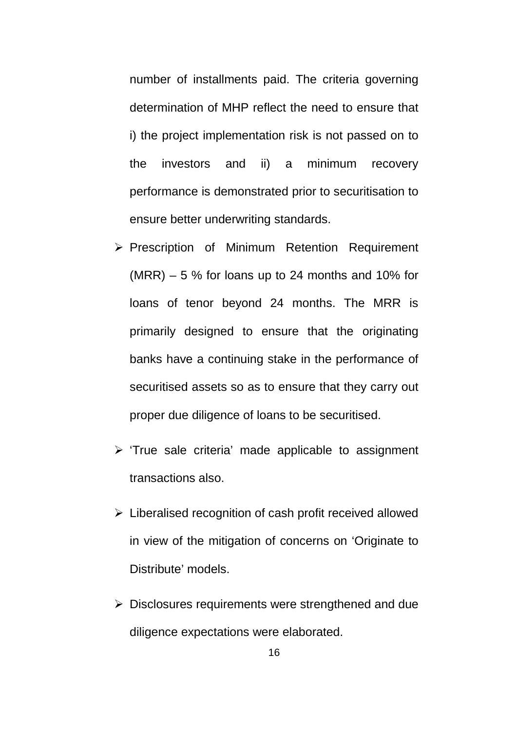number of installments paid. The criteria governing determination of MHP reflect the need to ensure that i) the project implementation risk is not passed on to the investors and ii) a minimum recovery performance is demonstrated prior to securitisation to ensure better underwriting standards.

- ▶ Prescription of Minimum Retention Requirement  $(MRR) - 5$  % for loans up to 24 months and 10% for loans of tenor beyond 24 months. The MRR is primarily designed to ensure that the originating banks have a continuing stake in the performance of securitised assets so as to ensure that they carry out proper due diligence of loans to be securitised.
- $\triangleright$  'True sale criteria' made applicable to assignment transactions also.
- $\triangleright$  Liberalised recognition of cash profit received allowed in view of the mitigation of concerns on 'Originate to Distribute' models.
- $\triangleright$  Disclosures requirements were strengthened and due diligence expectations were elaborated.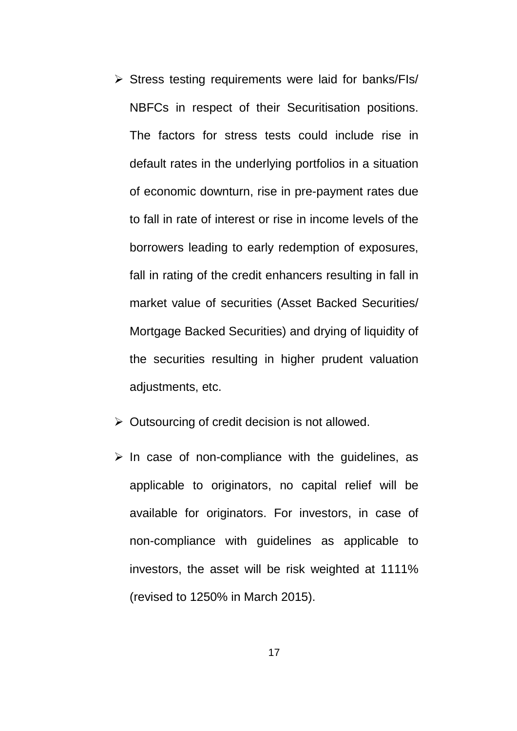- $\triangleright$  Stress testing requirements were laid for banks/FIs/ NBFCs in respect of their Securitisation positions. The factors for stress tests could include rise in default rates in the underlying portfolios in a situation of economic downturn, rise in pre-payment rates due to fall in rate of interest or rise in income levels of the borrowers leading to early redemption of exposures, fall in rating of the credit enhancers resulting in fall in market value of securities (Asset Backed Securities/ Mortgage Backed Securities) and drying of liquidity of the securities resulting in higher prudent valuation adjustments, etc.
- $\triangleright$  Outsourcing of credit decision is not allowed.
- $\triangleright$  In case of non-compliance with the guidelines, as applicable to originators, no capital relief will be available for originators. For investors, in case of non-compliance with guidelines as applicable to investors, the asset will be risk weighted at 1111% (revised to 1250% in March 2015).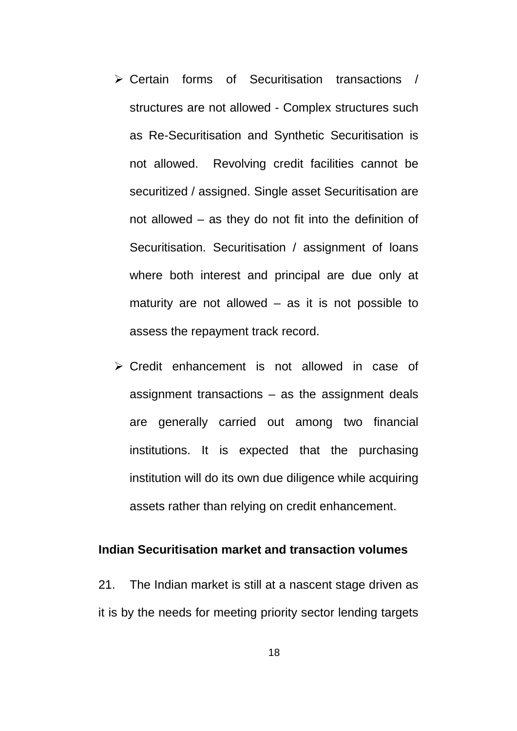- Certain forms of Securitisation transactions / structures are not allowed - Complex structures such as Re-Securitisation and Synthetic Securitisation is not allowed. Revolving credit facilities cannot be securitized / assigned. Single asset Securitisation are not allowed – as they do not fit into the definition of Securitisation. Securitisation / assignment of loans where both interest and principal are due only at maturity are not allowed  $-$  as it is not possible to assess the repayment track record.
- $\triangleright$  Credit enhancement is not allowed in case of assignment transactions – as the assignment deals are generally carried out among two financial institutions. It is expected that the purchasing institution will do its own due diligence while acquiring assets rather than relying on credit enhancement.

# **Indian Securitisation market and transaction volumes**

21. The Indian market is still at a nascent stage driven as it is by the needs for meeting priority sector lending targets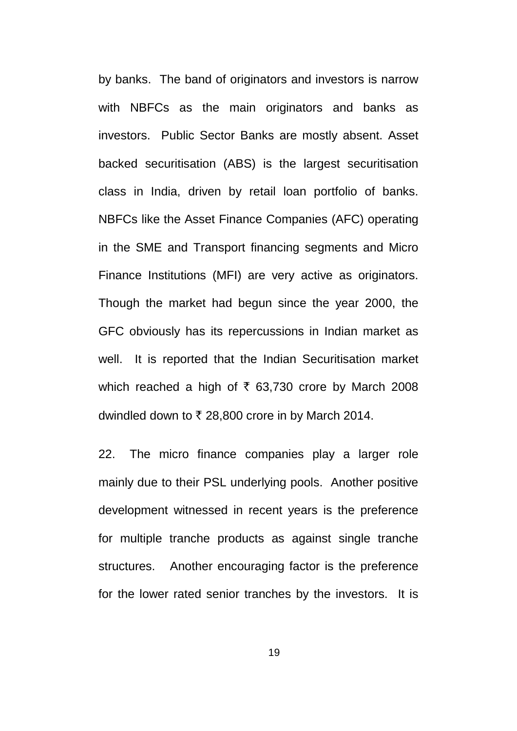by banks. The band of originators and investors is narrow with NBFCs as the main originators and banks as investors. Public Sector Banks are mostly absent. Asset backed securitisation (ABS) is the largest securitisation class in India, driven by retail loan portfolio of banks. NBFCs like the Asset Finance Companies (AFC) operating in the SME and Transport financing segments and Micro Finance Institutions (MFI) are very active as originators. Though the market had begun since the year 2000, the GFC obviously has its repercussions in Indian market as well. It is reported that the Indian Securitisation market which reached a high of  $\bar{\tau}$  63,730 crore by March 2008 dwindled down to  $\bar{\tau}$  28,800 crore in by March 2014.

22. The micro finance companies play a larger role mainly due to their PSL underlying pools. Another positive development witnessed in recent years is the preference for multiple tranche products as against single tranche structures. Another encouraging factor is the preference for the lower rated senior tranches by the investors. It is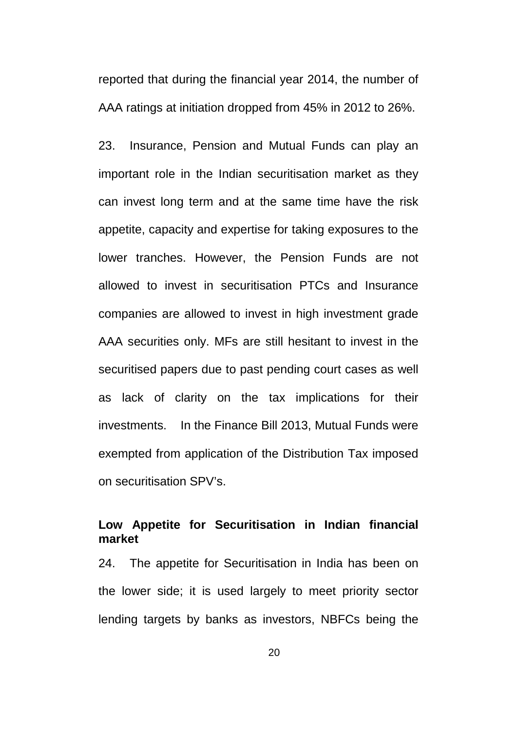reported that during the financial year 2014, the number of AAA ratings at initiation dropped from 45% in 2012 to 26%.

23. Insurance, Pension and Mutual Funds can play an important role in the Indian securitisation market as they can invest long term and at the same time have the risk appetite, capacity and expertise for taking exposures to the lower tranches. However, the Pension Funds are not allowed to invest in securitisation PTCs and Insurance companies are allowed to invest in high investment grade AAA securities only. MFs are still hesitant to invest in the securitised papers due to past pending court cases as well as lack of clarity on the tax implications for their investments. In the Finance Bill 2013, Mutual Funds were exempted from application of the Distribution Tax imposed on securitisation SPV's.

# **Low Appetite for Securitisation in Indian financial market**

24. The appetite for Securitisation in India has been on the lower side; it is used largely to meet priority sector lending targets by banks as investors, NBFCs being the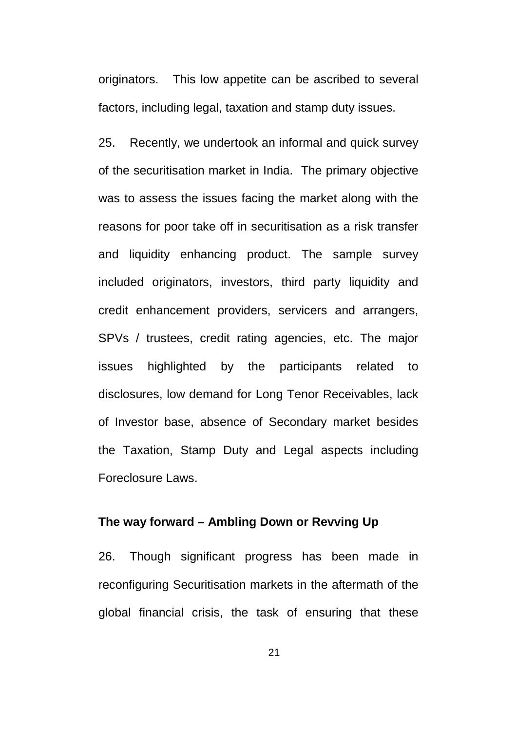originators. This low appetite can be ascribed to several factors, including legal, taxation and stamp duty issues.

25. Recently, we undertook an informal and quick survey of the securitisation market in India. The primary objective was to assess the issues facing the market along with the reasons for poor take off in securitisation as a risk transfer and liquidity enhancing product. The sample survey included originators, investors, third party liquidity and credit enhancement providers, servicers and arrangers, SPVs / trustees, credit rating agencies, etc. The major issues highlighted by the participants related to disclosures, low demand for Long Tenor Receivables, lack of Investor base, absence of Secondary market besides the Taxation, Stamp Duty and Legal aspects including Foreclosure Laws.

# **The way forward – Ambling Down or Revving Up**

26. Though significant progress has been made in reconfiguring Securitisation markets in the aftermath of the global financial crisis, the task of ensuring that these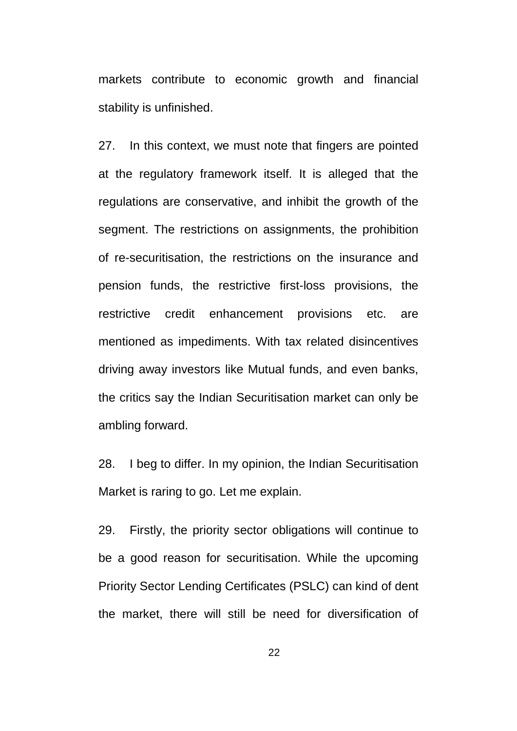markets contribute to economic growth and financial stability is unfinished.

27. In this context, we must note that fingers are pointed at the regulatory framework itself. It is alleged that the regulations are conservative, and inhibit the growth of the segment. The restrictions on assignments, the prohibition of re-securitisation, the restrictions on the insurance and pension funds, the restrictive first-loss provisions, the restrictive credit enhancement provisions etc. are mentioned as impediments. With tax related disincentives driving away investors like Mutual funds, and even banks, the critics say the Indian Securitisation market can only be ambling forward.

28. I beg to differ. In my opinion, the Indian Securitisation Market is raring to go. Let me explain.

29. Firstly, the priority sector obligations will continue to be a good reason for securitisation. While the upcoming Priority Sector Lending Certificates (PSLC) can kind of dent the market, there will still be need for diversification of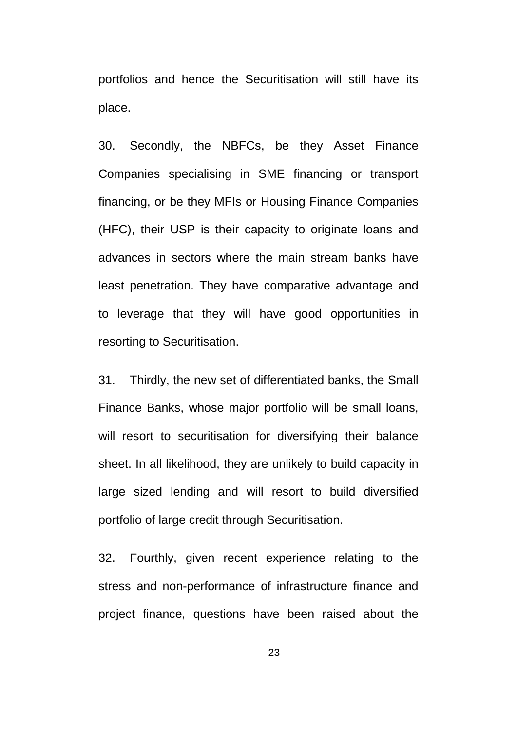portfolios and hence the Securitisation will still have its place.

30. Secondly, the NBFCs, be they Asset Finance Companies specialising in SME financing or transport financing, or be they MFIs or Housing Finance Companies (HFC), their USP is their capacity to originate loans and advances in sectors where the main stream banks have least penetration. They have comparative advantage and to leverage that they will have good opportunities in resorting to Securitisation.

31. Thirdly, the new set of differentiated banks, the Small Finance Banks, whose major portfolio will be small loans, will resort to securitisation for diversifying their balance sheet. In all likelihood, they are unlikely to build capacity in large sized lending and will resort to build diversified portfolio of large credit through Securitisation.

32. Fourthly, given recent experience relating to the stress and non-performance of infrastructure finance and project finance, questions have been raised about the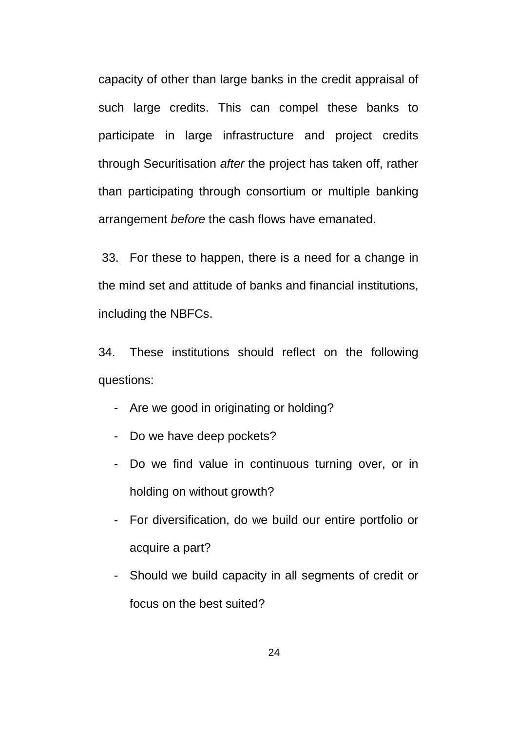capacity of other than large banks in the credit appraisal of such large credits. This can compel these banks to participate in large infrastructure and project credits through Securitisation *after* the project has taken off, rather than participating through consortium or multiple banking arrangement *before* the cash flows have emanated.

33. For these to happen, there is a need for a change in the mind set and attitude of banks and financial institutions, including the NBFCs.

34. These institutions should reflect on the following questions:

- Are we good in originating or holding?
- Do we have deep pockets?
- Do we find value in continuous turning over, or in holding on without growth?
- For diversification, do we build our entire portfolio or acquire a part?
- Should we build capacity in all segments of credit or focus on the best suited?